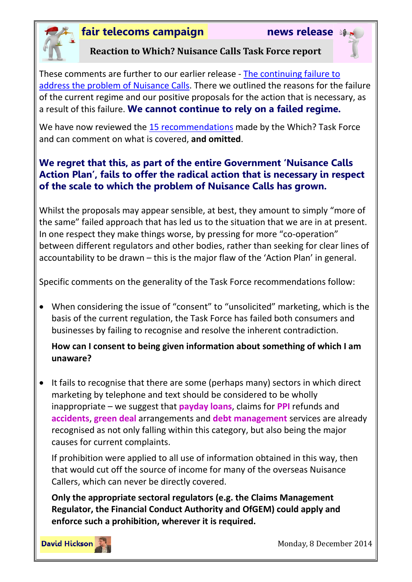

# **fair telecoms campaign news release**



### **Reaction to Which? Nuisance Calls Task Force report**

These comments are further to our earlier release - [The continuing failure to](http://www.fairtelecoms.org.uk/uploads/1/1/4/5/11456053/ncnr.pdf)  [address the problem of Nuisance Calls.](http://www.fairtelecoms.org.uk/uploads/1/1/4/5/11456053/ncnr.pdf) There we outlined the reasons for the failure of the current regime and our positive proposals for the action that is necessary, as a result of this failure. **We cannot continue to rely on a failed regime.**

We have now reviewed the [15 recommendations](http://www.which.co.uk/documents/pdf/nuisance-calls-task-force-recommendations-388317.pdf) made by the Which? Task Force and can comment on what is covered, **and omitted**.

## **We regret that this, as part of the entire Government 'Nuisance Calls Action Plan', fails to offer the radical action that is necessary in respect of the scale to which the problem of Nuisance Calls has grown.**

Whilst the proposals may appear sensible, at best, they amount to simply "more of the same" failed approach that has led us to the situation that we are in at present. In one respect they make things worse, by pressing for more "co-operation" between different regulators and other bodies, rather than seeking for clear lines of accountability to be drawn – this is the major flaw of the 'Action Plan' in general.

Specific comments on the generality of the Task Force recommendations follow:

 When considering the issue of "consent" to "unsolicited" marketing, which is the basis of the current regulation, the Task Force has failed both consumers and businesses by failing to recognise and resolve the inherent contradiction.

## **How can I consent to being given information about something of which I am unaware?**

• It fails to recognise that there are some (perhaps many) sectors in which direct marketing by telephone and text should be considered to be wholly inappropriate – we suggest that **payday loans**, claims for **PPI** refunds and **accidents**, **green deal** arrangements and **debt management** services are already recognised as not only falling within this category, but also being the major causes for current complaints.

If prohibition were applied to all use of information obtained in this way, then that would cut off the source of income for many of the overseas Nuisance Callers, which can never be directly covered.

**Only the appropriate sectoral regulators (e.g. the Claims Management Regulator, the Financial Conduct Authority and OfGEM) could apply and enforce such a prohibition, wherever it is required.**



Monday, 8 December 2014